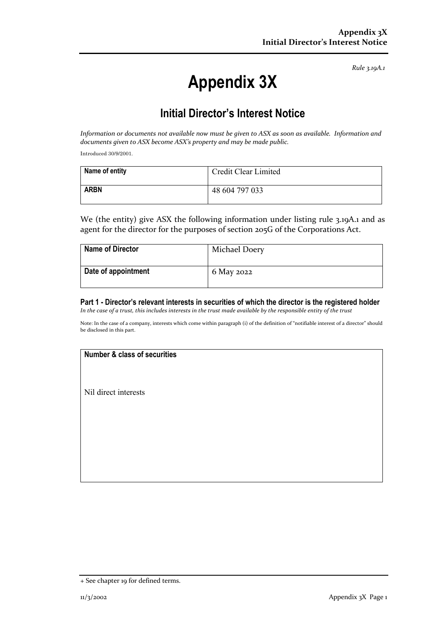*Rule 3.19A.1*

# **Appendix 3X**

## **Initial Director's Interest Notice**

*Information or documents not available now must be given to ASX as soon as available. Information and documents given to ASX become ASX's property and may be made public.*

Introduced 30/9/2001.

| Name of entity | Credit Clear Limited |
|----------------|----------------------|
| <b>ARBN</b>    | 48 604 797 033       |

We (the entity) give ASX the following information under listing rule 3.19A.1 and as agent for the director for the purposes of section 205G of the Corporations Act.

| <b>Name of Director</b> | <b>Michael Doery</b> |
|-------------------------|----------------------|
| Date of appointment     | 6 May 2022           |

#### **Part 1 - Director's relevant interests in securities of which the director is the registered holder** *In the case of a trust, this includes interests in the trust made available by the responsible entity of the trust*

Note: In the case of a company, interests which come within paragraph (i) of the definition of "notifiable interest of a director" should be disclosed in this part.

#### **Number & class of securities**

Nil direct interests

<sup>+</sup> See chapter 19 for defined terms.